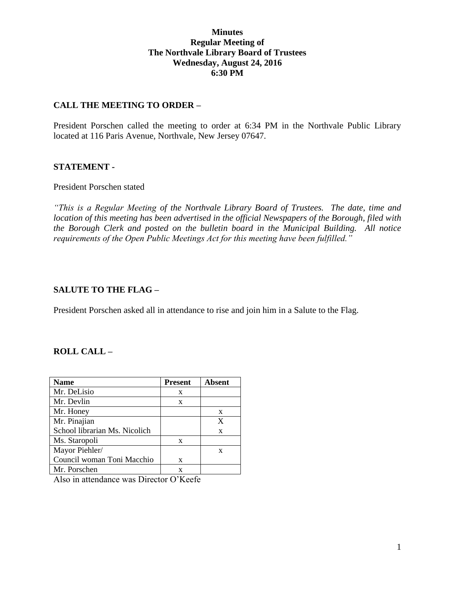### **Minutes Regular Meeting of The Northvale Library Board of Trustees Wednesday, August 24, 2016 6:30 PM**

### **CALL THE MEETING TO ORDER –**

President Porschen called the meeting to order at 6:34 PM in the Northvale Public Library located at 116 Paris Avenue, Northvale, New Jersey 07647.

#### **STATEMENT -**

#### President Porschen stated

*"This is a Regular Meeting of the Northvale Library Board of Trustees. The date, time and location of this meeting has been advertised in the official Newspapers of the Borough, filed with the Borough Clerk and posted on the bulletin board in the Municipal Building. All notice requirements of the Open Public Meetings Act for this meeting have been fulfilled."* 

#### **SALUTE TO THE FLAG –**

President Porschen asked all in attendance to rise and join him in a Salute to the Flag.

#### **ROLL CALL –**

| <b>Name</b>                   | <b>Present</b> | <b>Absent</b> |
|-------------------------------|----------------|---------------|
| Mr. DeLisio                   | X              |               |
| Mr. Devlin                    | X              |               |
| Mr. Honey                     |                | X             |
| Mr. Pinajian                  |                | X             |
| School librarian Ms. Nicolich |                | X             |
| Ms. Staropoli                 | X              |               |
| Mayor Piehler/                |                | X             |
| Council woman Toni Macchio    | X              |               |
| Mr. Porschen                  | X              |               |

Also in attendance was Director O'Keefe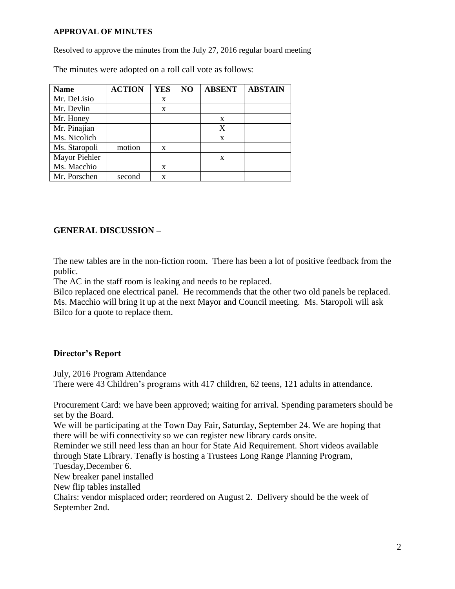#### **APPROVAL OF MINUTES**

Resolved to approve the minutes from the July 27, 2016 regular board meeting

The minutes were adopted on a roll call vote as follows:

| <b>Name</b>   | <b>ACTION</b> | <b>YES</b> | NO | <b>ABSENT</b> | <b>ABSTAIN</b> |
|---------------|---------------|------------|----|---------------|----------------|
| Mr. DeLisio   |               | X          |    |               |                |
| Mr. Devlin    |               | X          |    |               |                |
| Mr. Honey     |               |            |    | X             |                |
| Mr. Pinajian  |               |            |    | X             |                |
| Ms. Nicolich  |               |            |    | X             |                |
| Ms. Staropoli | motion        | X          |    |               |                |
| Mayor Piehler |               |            |    | X             |                |
| Ms. Macchio   |               | X          |    |               |                |
| Mr. Porschen  | second        | X          |    |               |                |

# **GENERAL DISCUSSION –**

The new tables are in the non-fiction room. There has been a lot of positive feedback from the public.

The AC in the staff room is leaking and needs to be replaced.

Bilco replaced one electrical panel. He recommends that the other two old panels be replaced. Ms. Macchio will bring it up at the next Mayor and Council meeting. Ms. Staropoli will ask Bilco for a quote to replace them.

# **Director's Report**

July, 2016 Program Attendance

There were 43 Children's programs with 417 children, 62 teens, 121 adults in attendance.

Procurement Card: we have been approved; waiting for arrival. Spending parameters should be set by the Board. We will be participating at the Town Day Fair, Saturday, September 24. We are hoping that there will be wifi connectivity so we can register new library cards onsite. Reminder we still need less than an hour for State Aid Requirement. Short videos available

through State Library. Tenafly is hosting a Trustees Long Range Planning Program, Tuesday,December 6. New breaker panel installed New flip tables installed

Chairs: vendor misplaced order; reordered on August 2. Delivery should be the week of September 2nd.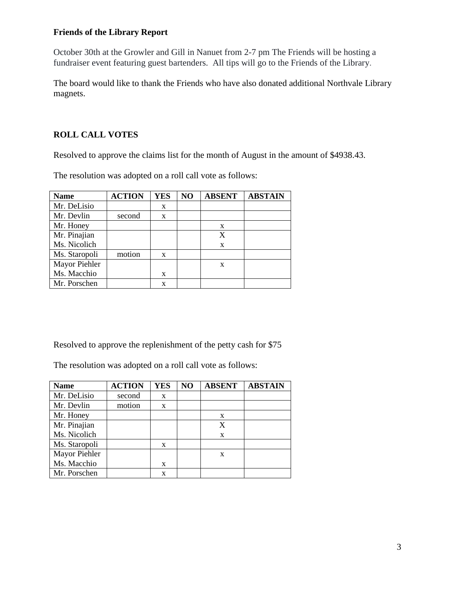# **Friends of the Library Report**

October 30th at the Growler and Gill in Nanuet from 2-7 pm The Friends will be hosting a fundraiser event featuring guest bartenders. All tips will go to the Friends of the Library.

The board would like to thank the Friends who have also donated additional Northvale Library magnets.

# **ROLL CALL VOTES**

Resolved to approve the claims list for the month of August in the amount of \$4938.43.

The resolution was adopted on a roll call vote as follows:

| <b>Name</b>   | <b>ACTION</b> | <b>YES</b> | N <sub>O</sub> | <b>ABSENT</b> | <b>ABSTAIN</b> |
|---------------|---------------|------------|----------------|---------------|----------------|
| Mr. DeLisio   |               | X          |                |               |                |
| Mr. Devlin    | second        | X          |                |               |                |
| Mr. Honey     |               |            |                | X             |                |
| Mr. Pinajian  |               |            |                | X             |                |
| Ms. Nicolich  |               |            |                | X             |                |
| Ms. Staropoli | motion        | X          |                |               |                |
| Mayor Piehler |               |            |                | X             |                |
| Ms. Macchio   |               | X          |                |               |                |
| Mr. Porschen  |               | X          |                |               |                |

Resolved to approve the replenishment of the petty cash for \$75

The resolution was adopted on a roll call vote as follows:

| <b>Name</b>   | <b>ACTION</b> | <b>YES</b> | NO | <b>ABSENT</b> | <b>ABSTAIN</b> |
|---------------|---------------|------------|----|---------------|----------------|
| Mr. DeLisio   | second        | X          |    |               |                |
| Mr. Devlin    | motion        | X          |    |               |                |
| Mr. Honey     |               |            |    | X             |                |
| Mr. Pinajian  |               |            |    | X             |                |
| Ms. Nicolich  |               |            |    | X             |                |
| Ms. Staropoli |               | X          |    |               |                |
| Mayor Piehler |               |            |    | X             |                |
| Ms. Macchio   |               | X          |    |               |                |
| Mr. Porschen  |               | X          |    |               |                |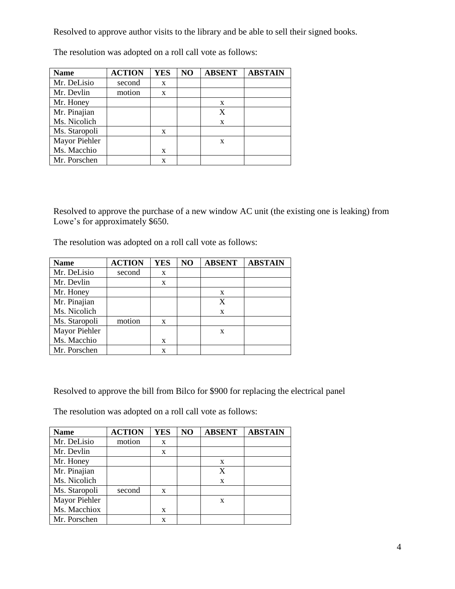Resolved to approve author visits to the library and be able to sell their signed books.

| <b>Name</b>   | <b>ACTION</b> | <b>YES</b> | NO | <b>ABSENT</b> | <b>ABSTAIN</b> |
|---------------|---------------|------------|----|---------------|----------------|
| Mr. DeLisio   | second        | X          |    |               |                |
| Mr. Devlin    | motion        | X          |    |               |                |
| Mr. Honey     |               |            |    | X             |                |
| Mr. Pinajian  |               |            |    | X             |                |
| Ms. Nicolich  |               |            |    | $\mathbf x$   |                |
| Ms. Staropoli |               | X          |    |               |                |
| Mayor Piehler |               |            |    | X             |                |
| Ms. Macchio   |               | X          |    |               |                |
| Mr. Porschen  |               | X          |    |               |                |

The resolution was adopted on a roll call vote as follows:

Resolved to approve the purchase of a new window AC unit (the existing one is leaking) from Lowe's for approximately \$650.

The resolution was adopted on a roll call vote as follows:

| <b>Name</b>   | <b>ACTION</b> | <b>YES</b> | NO | <b>ABSENT</b> | <b>ABSTAIN</b> |
|---------------|---------------|------------|----|---------------|----------------|
| Mr. DeLisio   | second        | X          |    |               |                |
| Mr. Devlin    |               | X          |    |               |                |
| Mr. Honey     |               |            |    | X             |                |
| Mr. Pinajian  |               |            |    | X             |                |
| Ms. Nicolich  |               |            |    | X             |                |
| Ms. Staropoli | motion        | X          |    |               |                |
| Mayor Piehler |               |            |    | X             |                |
| Ms. Macchio   |               | X          |    |               |                |
| Mr. Porschen  |               | X          |    |               |                |

Resolved to approve the bill from Bilco for \$900 for replacing the electrical panel

The resolution was adopted on a roll call vote as follows:

| <b>Name</b>   | <b>ACTION</b> | <b>YES</b> | NO | <b>ABSENT</b> | <b>ABSTAIN</b> |
|---------------|---------------|------------|----|---------------|----------------|
| Mr. DeLisio   | motion        | X          |    |               |                |
| Mr. Devlin    |               | X          |    |               |                |
| Mr. Honey     |               |            |    | X             |                |
| Mr. Pinajian  |               |            |    | X             |                |
| Ms. Nicolich  |               |            |    | X             |                |
| Ms. Staropoli | second        | X          |    |               |                |
| Mayor Piehler |               |            |    | X             |                |
| Ms. Macchiox  |               | X          |    |               |                |
| Mr. Porschen  |               | X          |    |               |                |